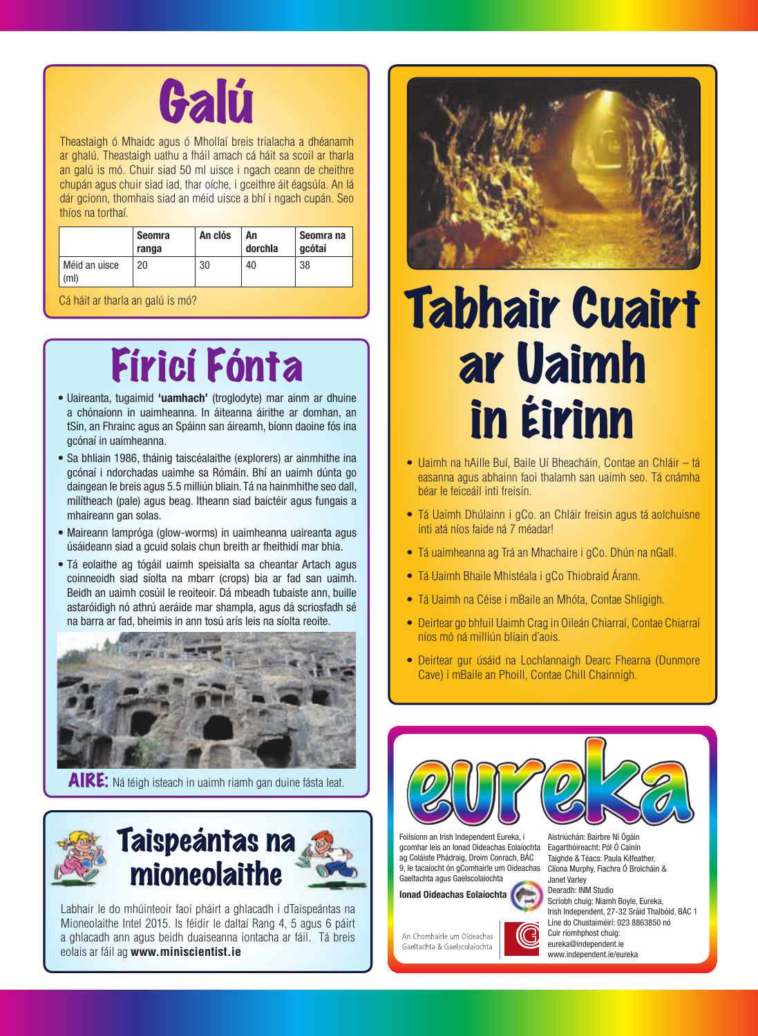

Theastaigh ó Mhaidc agus ó Mhollaí breis trialacha a dhéanamh ar ghalú. Theastaigh uathu a fháil amach cá háit sa scoil ar tharla an galú is mó. Chuir siad 50 ml uisce i ngach ceann de cheithre chupán agus chuir siad iad, thar oíche, i gceithre áit éagsúla. An lá dár gcionn, thomhais siad an méid uisce a bhí i ngach cupán. Seo thíos na torthaí.

|                       | <b>Seomra</b><br>ranga | An clós | An<br>dorchla | Seomra na<br>gcótaí |
|-----------------------|------------------------|---------|---------------|---------------------|
| Méid an uisce<br>(ml) | 20                     | 30      | 40            | 38                  |

Cá háit ar tharla an galú is mó?

## Fíricí Fónta

- Uaireanta, tugaimid **'uamhach'** (troglodyte) mar ainm ar dhuine a chónaíonn in uaimheanna. In áiteanna áirithe ar domhan, an tSín, an Fhrainc agus an Spáinn san áireamh, bíonn daoine fós ina gcónaí in uaimheanna.
- Sa bhliain 1986, tháinig taiscéalaithe (explorers) ar ainmhithe ina gcónaí i ndorchadas uaimhe sa Rómáin. Bhí an uaimh dúnta go daingean le breis agus 5.5 milliún bliain. Tá na hainmhithe seo dall, mílítheach (pale) agus beag. Itheann siad baictéir agus fungais a mhaireann gan solas.
- Maireann lampróga (glow-worms) in uaimheanna uaireanta agus úsáideann siad a gcuid solais chun breith ar fheithidí mar bhia.
- Tá eolaithe ag tógáil uaimh speisialta sa cheantar Artach agus coinneoidh siad síolta na mbarr (crops) bia ar fad san uaimh. Beidh an uaimh cosúil le reoiteoir. Dá mbeadh tubaiste ann, buille astaróidigh nó athrú aeráide mar shampla, agus dá scriosfadh sé na barra ar fad, bheimis in ann tosú arís leis na síolta reoite.



AIRE: Ná téigh isteach in uaimh riamh gan duine fásta leat.



Labhair le do mhúinteoir faoi pháirt a ghlacadh i dTaispeántas na Mioneolaithe Intel 2015. Is féidir le daltaí Rang 4, 5 agus 6 páirt a ghlacadh ann agus beidh duaiseanna iontacha ar fáil. Tá breis eolais ar fáil ag **www.miniscientist.ie**



# Tabhair Cuairt ar Uaimh in Éirinn

- Uaimh na hAille Buí, Baile Uí Bheacháin, Contae an Chláir tá easanna agus abhainn faoi thalamh san uaimh seo. Tá cnámha béar le feiceáil inti freisin.
- Tá Uaimh Dhúlainn i gCo. an Chláir freisin agus tá aolchuisne inti atá níos faide ná 7 méadar!
- Tá uaimheanna ag Trá an Mhachaire i gCo. Dhún na nGall.
- Tá Uaimh Bhaile Mhistéala i gCo Thiobraid Árann.
- Tá Uaimh na Céise i mBaile an Mhóta, Contae Shligigh.
- Deirtear go bhfuil Uaimh Crag in Oileán Chiarraí, Contae Chiarraí níos mó ná milliún bliain d'aois.
- Deirtear gur úsáid na Lochlannaigh Dearc Fhearna (Dunmore Cave) i mBaile an Phoill, Contae Chill Chainnigh.



Foilsíonn an Irish Independent Eureka, i gcomhar leis an Ionad Oideachas Eolaíochta ag Coláiste Phádraig, Droim Conrach, BÁC 9, le tacaíocht ón gComhairle um Oideachas Gaeltachta agus Gaelscolaíochta

**Ionad Oideachas Eolaíochta**





Aistriúchán: Bairbre Ní Ógáin Eagarthóireacht: Pól Ó Cainín Taighde & Téacs: Paula Kilfeather, Clíona Murphy, Fiachra Ó Brolcháin & Janet Varley Dearadh: INM Studio Scríobh chuig: Niamh Boyle, Eureka, Irish Independent, 27-32 Sráid Thalbóid, BÁC 1 Líne do Chustaiméirí: 023 8863850 nó Cuir ríomhphost chuig: eureka@independent.ie www.independent.ie/eureka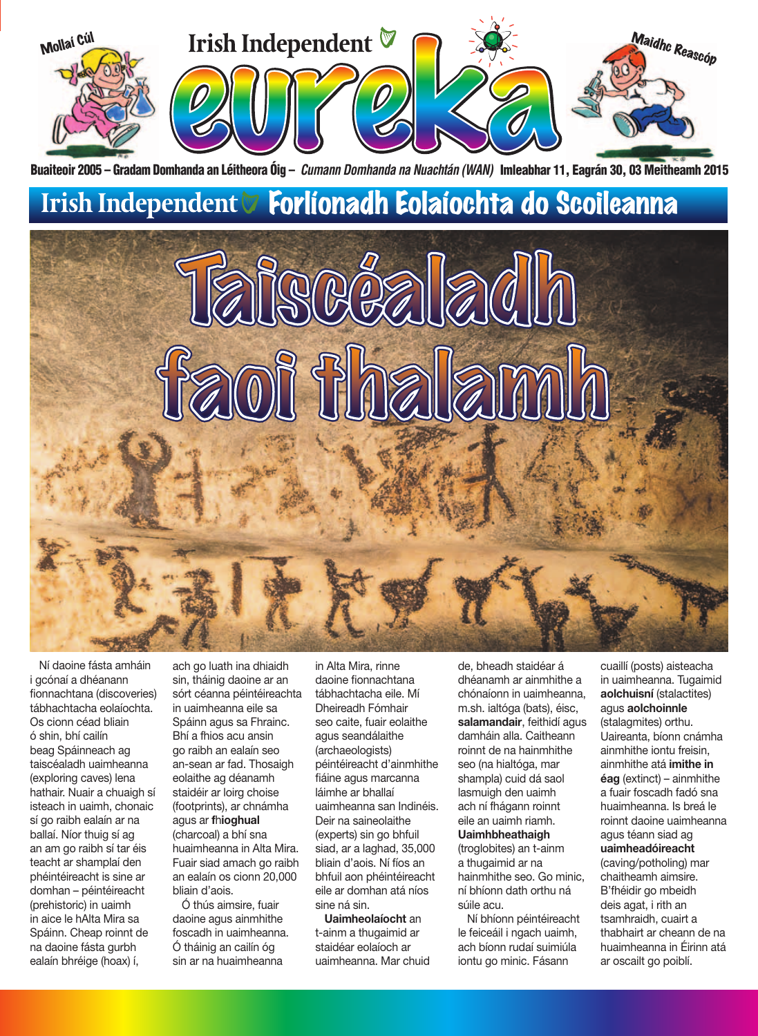

Buaiteoir 2005 – Gradam Domhanda an Léitheora Óig – *Cumann Domhanda na Nuachtán (WAN)*  Imleabhar 11, Eagrán 30, 03 Meitheamh 2015



Ní daoine fásta amháin i gcónaí a dhéanann fionnachtana (discoveries) tábhachtacha eolaíochta. Os cionn céad bliain ó shin, bhí cailín beag Spáinneach ag taiscéaladh uaimheanna (exploring caves) lena hathair. Nuair a chuaigh sí isteach in uaimh, chonaic sí go raibh ealaín ar na ballaí. Níor thuig sí ag an am go raibh sí tar éis teacht ar shamplaí den phéintéireacht is sine ar domhan – péintéireacht (prehistoric) in uaimh in aice le hAlta Mira sa Spáinn. Cheap roinnt de na daoine fásta gurbh ealaín bhréige (hoax) í,

ach go luath ina dhiaidh sin, tháinig daoine ar an sórt céanna péintéireachta in uaimheanna eile sa Spáinn agus sa Fhrainc. Bhí a fhios acu ansin go raibh an ealaín seo an-sean ar fad. Thosaigh eolaithe ag déanamh staidéir ar loirg choise (footprints), ar chnámha agus ar **f**h**ioghual**  (charcoal) a bhí sna huaimheanna in Alta Mira. Fuair siad amach go raibh an ealaín os cionn 20,000 bliain d'aois.

Ó thús aimsire, fuair daoine agus ainmhithe foscadh in uaimheanna. Ó tháinig an cailín óg sin ar na huaimheanna

in Alta Mira, rinne daoine fionnachtana tábhachtacha eile. Mí Dheireadh Fómhair seo caite, fuair eolaithe agus seandálaithe (archaeologists) péintéireacht d'ainmhithe fiáine agus marcanna láimhe ar bhallaí uaimheanna san Indinéis. Deir na saineolaithe (experts) sin go bhfuil siad, ar a laghad, 35,000 bliain d'aois. Ní fíos an bhfuil aon phéintéireacht eile ar domhan atá níos sine ná sin.

**Uaimheolaíocht** an t-ainm a thugaimid ar staidéar eolaíoch ar uaimheanna. Mar chuid

de, bheadh staidéar á dhéanamh ar ainmhithe a chónaíonn in uaimheanna, m.sh. ialtóga (bats), éisc, **salamandair**, feithidí agus damháin alla. Caitheann roinnt de na hainmhithe seo (na hialtóga, mar shampla) cuid dá saol lasmuigh den uaimh ach ní fhágann roinnt eile an uaimh riamh. **Uaimhbheathaigh** (troglobites) an t-ainm a thugaimid ar na hainmhithe seo. Go minic, ní bhíonn dath orthu ná súile acu. Ní bhíonn péintéireacht

le feiceáil i ngach uaimh, ach bíonn rudaí suimiúla iontu go minic. Fásann

cuaillí (posts) aisteacha in uaimheanna. Tugaimid **aolchuisní** (stalactites) agus **aolchoinnle** (stalagmites) orthu. Uaireanta, bíonn cnámha ainmhithe iontu freisin, ainmhithe atá **imithe in éag** (extinct) – ainmhithe a fuair foscadh fadó sna huaimheanna. Is breá le roinnt daoine uaimheanna agus téann siad ag **uaimheadóireacht** (caving/potholing) mar chaitheamh aimsire. B'fhéidir go mbeidh deis agat, i rith an tsamhraidh, cuairt a thabhairt ar cheann de na huaimheanna in Éirinn atá ar oscailt go poiblí.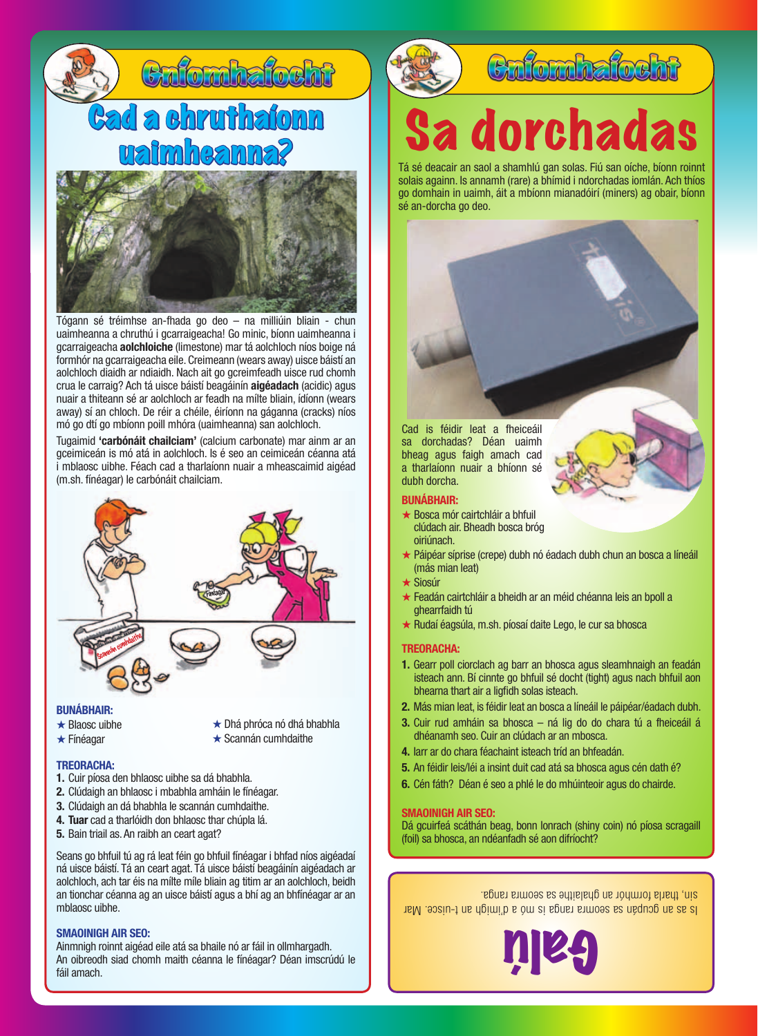

Tógann sé tréimhse an-fhada go deo – na milliúin bliain - chun uaimheanna a chruthú i gcarraigeacha! Go minic, bíonn uaimheanna i gcarraigeacha **aolchloiche** (limestone) mar tá aolchloch níos boige ná formhór na gcarraigeacha eile. Creimeann (wears away) uisce báistí an aolchloch diaidh ar ndiaidh. Nach ait go gcreimfeadh uisce rud chomh crua le carraig? Ach tá uisce báistí beagáinín **aigéadach** (acidic) agus nuair a thiteann sé ar aolchloch ar feadh na mílte bliain, ídíonn (wears away) sí an chloch. De réir a chéile, éiríonn na gáganna (cracks) níos mó go dtí go mbíonn poill mhóra (uaimheanna) san aolchloch.

Tugaimid **'carbónáit chailciam'** (calcium carbonate) mar ainm ar an gceimiceán is mó atá in aolchloch. Is é seo an ceimiceán céanna atá i mblaosc uibhe. Féach cad a tharlaíonn nuair a mheascaimid aigéad (m.sh. fínéagar) le carbónáit chailciam.



- ★ Blaosc uibhe
- ★ Fínéagar
- ★ Dhá phróca nó dhá bhabhla
- ★ Scannán cumhdaithe

#### **TREORACHA:**

- **1.** Cuir píosa den bhlaosc uibhe sa dá bhabhla.
- **2.** Clúdaigh an bhlaosc i mbabhla amháin le fínéagar.
- **3.** Clúdaigh an dá bhabhla le scannán cumhdaithe.
- **4. Tuar** cad a tharlóidh don bhlaosc thar chúpla lá.
- **5.** Bain triail as. An raibh an ceart agat?

Seans go bhfuil tú ag rá leat féin go bhfuil fínéagar i bhfad níos aigéadaí ná uisce báistí. Tá an ceart agat. Tá uisce báistí beagáinín aigéadach ar aolchloch, ach tar éis na mílte míle bliain ag titim ar an aolchloch, beidh an tionchar céanna ag an uisce báistí agus a bhí ag an bhfínéagar ar an mblaosc uibhe.

#### **SMAOINIGH AIR SEO:**

Ainmnigh roinnt aigéad eile atá sa bhaile nó ar fáil in ollmhargadh. An oibreodh siad chomh maith céanna le fínéagar? Déan imscrúdú le fáil amach.

## **Cnfomhafocht**

# Sa dorchadas

Tá sé deacair an saol a shamhlú gan solas. Fiú san oíche, bíonn roinnt solais againn. Is annamh (rare) a bhímid i ndorchadas iomlán. Ach thíos go domhain in uaimh, áit a mbíonn mianadóirí (miners) ag obair, bíonn sé an-dorcha go deo.

Cad is féidir leat a fheiceáil sa dorchadas? Déan uaimh bheag agus faigh amach cad a tharlaíonn nuair a bhíonn sé dubh dorcha.

#### **BUNÁBHAIR:**

- ★ Bosca mór cairtchláir a bhfuil clúdach air. Bheadh bosca bróg oiriúnach.
- ★ Páipéar síprise (crepe) dubh nó éadach dubh chun an bosca a líneáil (más mian leat)
- ★ Siosúr
- ★ Feadán cairtchláir a bheidh ar an méid chéanna leis an bpoll a ghearrfaidh tú
- ★ Rudaí éagsúla, m.sh. píosaí daite Lego, le cur sa bhosca

#### **TREORACHA:**

- **1.** Gearr poll ciorclach ag barr an bhosca agus sleamhnaigh an feadán isteach ann. Bí cinnte go bhfuil sé docht (tight) agus nach bhfuil aon bhearna thart air a ligfidh solas isteach.
- **2.** Más mian leat, is féidir leat an bosca a líneáil le páipéar/éadach dubh.
- **3.** Cuir rud amháin sa bhosca ná lig do do chara tú a fheiceáil á dhéanamh seo. Cuir an clúdach ar an mbosca.
- **4.** Iarr ar do chara féachaint isteach tríd an bhfeadán.
- **5.** An féidir leis/léi a insint duit cad atá sa bhosca agus cén dath é?
- **6.** Cén fáth? Déan é seo a phlé le do mhúinteoir agus do chairde.

#### **SMAOINIGH AIR SEO:**

Dá gcuirfeá scáthán beag, bonn lonrach (shiny coin) nó píosa scragaill (foil) sa bhosca, an ndéanfadh sé aon difríocht?

Is as an gcupán sa seomra ranga is mó a d'imigh an t-uisce. Mar sin, tharla formhór an ghalaithe sa seomra ranga.